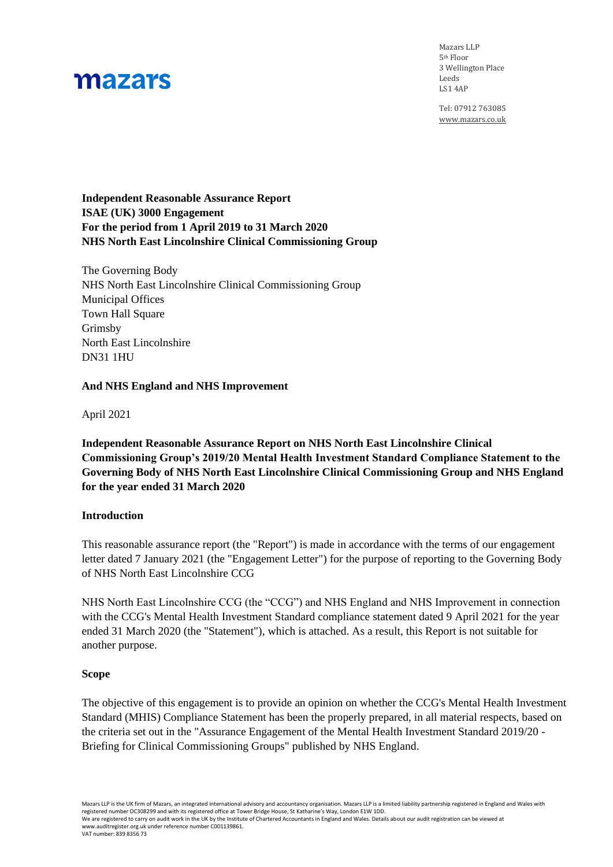Mazars LLP 5th Floor 3 Wellington Place Leeds LS1 4AP

Tel: 07912 763085 [www.mazars.co.uk](http://www.mazars.co.ukm/)

### **Independent Reasonable Assurance Report ISAE (UK) 3000 Engagement For the period from 1 April 2019 to 31 March 2020 NHS North East Lincolnshire Clinical Commissioning Group**

The Governing Body NHS North East Lincolnshire Clinical Commissioning Group Municipal Offices Town Hall Square Grimsby North East Lincolnshire DN31 1HU

### **And NHS England and NHS Improvement**

April 2021

**Independent Reasonable Assurance Report on NHS North East Lincolnshire Clinical Commissioning Group's 2019/20 Mental Health Investment Standard Compliance Statement to the Governing Body of NHS North East Lincolnshire Clinical Commissioning Group and NHS England for the year ended 31 March 2020**

### **Introduction**

This reasonable assurance report (the "Report") is made in accordance with the terms of our engagement letter dated 7 January 2021 (the "Engagement Letter") for the purpose of reporting to the Governing Body of NHS North East Lincolnshire CCG

NHS North East Lincolnshire CCG (the "CCG") and NHS England and NHS Improvement in connection with the CCG's Mental Health Investment Standard compliance statement dated 9 April 2021 for the year ended 31 March 2020 (the "Statement"), which is attached. As a result, this Report is not suitable for another purpose.

### **Scope**

The objective of this engagement is to provide an opinion on whether the CCG's Mental Health Investment Standard (MHIS) Compliance Statement has been the properly prepared, in all material respects, based on the criteria set out in the "Assurance Engagement of the Mental Health Investment Standard 2019/20 - Briefing for Clinical Commissioning Groups" published by NHS England.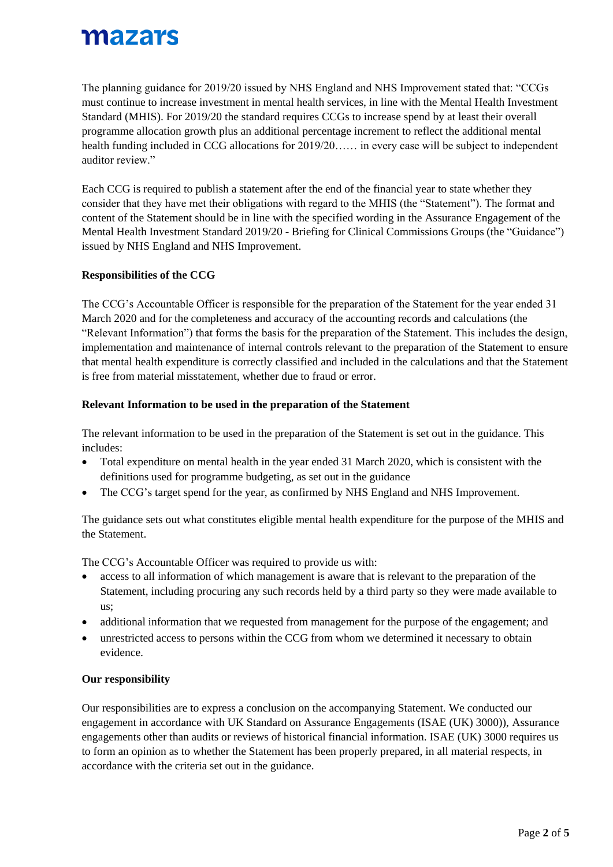The planning guidance for 2019/20 issued by NHS England and NHS Improvement stated that: "CCGs must continue to increase investment in mental health services, in line with the Mental Health Investment Standard (MHIS). For 2019/20 the standard requires CCGs to increase spend by at least their overall programme allocation growth plus an additional percentage increment to reflect the additional mental health funding included in CCG allocations for 2019/20…… in every case will be subject to independent auditor review."

Each CCG is required to publish a statement after the end of the financial year to state whether they consider that they have met their obligations with regard to the MHIS (the "Statement"). The format and content of the Statement should be in line with the specified wording in the Assurance Engagement of the Mental Health Investment Standard 2019/20 - Briefing for Clinical Commissions Groups (the "Guidance") issued by NHS England and NHS Improvement.

### **Responsibilities of the CCG**

The CCG's Accountable Officer is responsible for the preparation of the Statement for the year ended 31 March 2020 and for the completeness and accuracy of the accounting records and calculations (the "Relevant Information") that forms the basis for the preparation of the Statement. This includes the design, implementation and maintenance of internal controls relevant to the preparation of the Statement to ensure that mental health expenditure is correctly classified and included in the calculations and that the Statement is free from material misstatement, whether due to fraud or error.

### **Relevant Information to be used in the preparation of the Statement**

The relevant information to be used in the preparation of the Statement is set out in the guidance. This includes:

- Total expenditure on mental health in the year ended 31 March 2020, which is consistent with the definitions used for programme budgeting, as set out in the guidance
- The CCG's target spend for the year, as confirmed by NHS England and NHS Improvement.

The guidance sets out what constitutes eligible mental health expenditure for the purpose of the MHIS and the Statement.

The CCG's Accountable Officer was required to provide us with:

- access to all information of which management is aware that is relevant to the preparation of the Statement, including procuring any such records held by a third party so they were made available to us;
- additional information that we requested from management for the purpose of the engagement; and
- unrestricted access to persons within the CCG from whom we determined it necessary to obtain evidence.

### **Our responsibility**

Our responsibilities are to express a conclusion on the accompanying Statement. We conducted our engagement in accordance with UK Standard on Assurance Engagements (ISAE (UK) 3000)), Assurance engagements other than audits or reviews of historical financial information. ISAE (UK) 3000 requires us to form an opinion as to whether the Statement has been properly prepared, in all material respects, in accordance with the criteria set out in the guidance.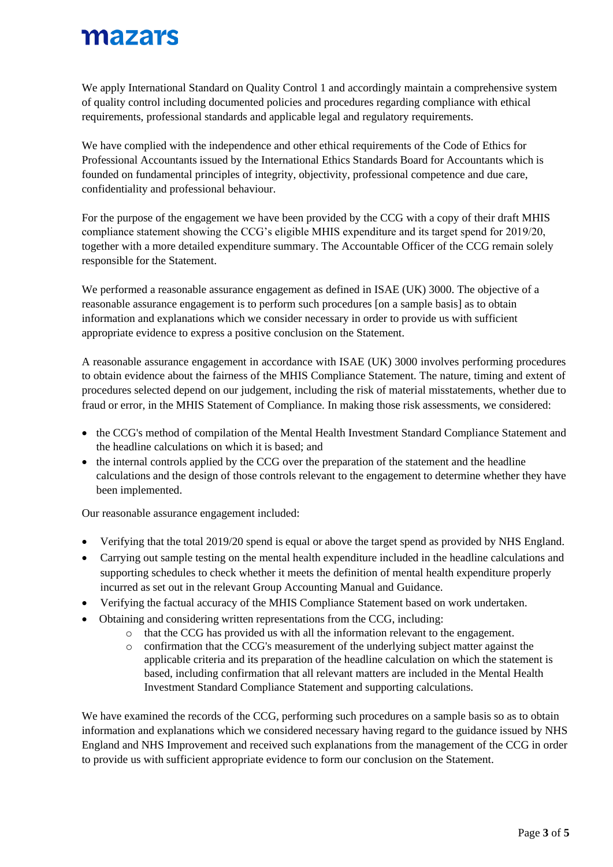We apply International Standard on Quality Control 1 and accordingly maintain a comprehensive system of quality control including documented policies and procedures regarding compliance with ethical requirements, professional standards and applicable legal and regulatory requirements.

We have complied with the independence and other ethical requirements of the Code of Ethics for Professional Accountants issued by the International Ethics Standards Board for Accountants which is founded on fundamental principles of integrity, objectivity, professional competence and due care, confidentiality and professional behaviour.

For the purpose of the engagement we have been provided by the CCG with a copy of their draft MHIS compliance statement showing the CCG's eligible MHIS expenditure and its target spend for 2019/20, together with a more detailed expenditure summary. The Accountable Officer of the CCG remain solely responsible for the Statement.

We performed a reasonable assurance engagement as defined in ISAE (UK) 3000. The objective of a reasonable assurance engagement is to perform such procedures [on a sample basis] as to obtain information and explanations which we consider necessary in order to provide us with sufficient appropriate evidence to express a positive conclusion on the Statement.

A reasonable assurance engagement in accordance with ISAE (UK) 3000 involves performing procedures to obtain evidence about the fairness of the MHIS Compliance Statement. The nature, timing and extent of procedures selected depend on our judgement, including the risk of material misstatements, whether due to fraud or error, in the MHIS Statement of Compliance. In making those risk assessments, we considered:

- the CCG's method of compilation of the Mental Health Investment Standard Compliance Statement and the headline calculations on which it is based; and
- the internal controls applied by the CCG over the preparation of the statement and the headline calculations and the design of those controls relevant to the engagement to determine whether they have been implemented.

Our reasonable assurance engagement included:

- Verifying that the total 2019/20 spend is equal or above the target spend as provided by NHS England.
- Carrying out sample testing on the mental health expenditure included in the headline calculations and supporting schedules to check whether it meets the definition of mental health expenditure properly incurred as set out in the relevant Group Accounting Manual and Guidance.
- Verifying the factual accuracy of the MHIS Compliance Statement based on work undertaken.
- Obtaining and considering written representations from the CCG, including:
	- o that the CCG has provided us with all the information relevant to the engagement.
	- o confirmation that the CCG's measurement of the underlying subject matter against the applicable criteria and its preparation of the headline calculation on which the statement is based, including confirmation that all relevant matters are included in the Mental Health Investment Standard Compliance Statement and supporting calculations.

We have examined the records of the CCG, performing such procedures on a sample basis so as to obtain information and explanations which we considered necessary having regard to the guidance issued by NHS England and NHS Improvement and received such explanations from the management of the CCG in order to provide us with sufficient appropriate evidence to form our conclusion on the Statement.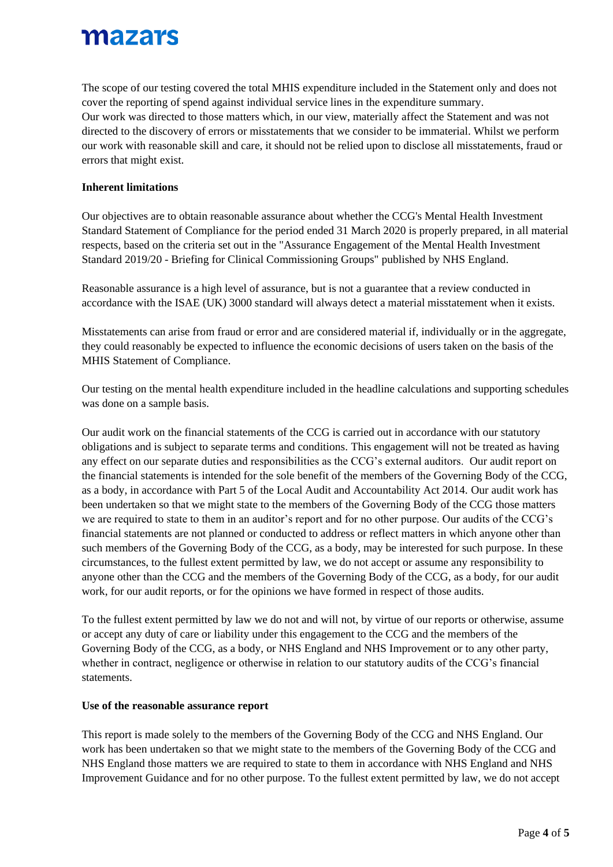The scope of our testing covered the total MHIS expenditure included in the Statement only and does not cover the reporting of spend against individual service lines in the expenditure summary. Our work was directed to those matters which, in our view, materially affect the Statement and was not directed to the discovery of errors or misstatements that we consider to be immaterial. Whilst we perform our work with reasonable skill and care, it should not be relied upon to disclose all misstatements, fraud or errors that might exist.

### **Inherent limitations**

Our objectives are to obtain reasonable assurance about whether the CCG's Mental Health Investment Standard Statement of Compliance for the period ended 31 March 2020 is properly prepared, in all material respects, based on the criteria set out in the "Assurance Engagement of the Mental Health Investment Standard 2019/20 - Briefing for Clinical Commissioning Groups" published by NHS England.

Reasonable assurance is a high level of assurance, but is not a guarantee that a review conducted in accordance with the ISAE (UK) 3000 standard will always detect a material misstatement when it exists.

Misstatements can arise from fraud or error and are considered material if, individually or in the aggregate, they could reasonably be expected to influence the economic decisions of users taken on the basis of the MHIS Statement of Compliance.

Our testing on the mental health expenditure included in the headline calculations and supporting schedules was done on a sample basis.

Our audit work on the financial statements of the CCG is carried out in accordance with our statutory obligations and is subject to separate terms and conditions. This engagement will not be treated as having any effect on our separate duties and responsibilities as the CCG's external auditors. Our audit report on the financial statements is intended for the sole benefit of the members of the Governing Body of the CCG, as a body, in accordance with Part 5 of the Local Audit and Accountability Act 2014. Our audit work has been undertaken so that we might state to the members of the Governing Body of the CCG those matters we are required to state to them in an auditor's report and for no other purpose. Our audits of the CCG's financial statements are not planned or conducted to address or reflect matters in which anyone other than such members of the Governing Body of the CCG, as a body, may be interested for such purpose. In these circumstances, to the fullest extent permitted by law, we do not accept or assume any responsibility to anyone other than the CCG and the members of the Governing Body of the CCG, as a body, for our audit work, for our audit reports, or for the opinions we have formed in respect of those audits.

To the fullest extent permitted by law we do not and will not, by virtue of our reports or otherwise, assume or accept any duty of care or liability under this engagement to the CCG and the members of the Governing Body of the CCG, as a body, or NHS England and NHS Improvement or to any other party, whether in contract, negligence or otherwise in relation to our statutory audits of the CCG's financial statements.

### **Use of the reasonable assurance report**

This report is made solely to the members of the Governing Body of the CCG and NHS England. Our work has been undertaken so that we might state to the members of the Governing Body of the CCG and NHS England those matters we are required to state to them in accordance with NHS England and NHS Improvement Guidance and for no other purpose. To the fullest extent permitted by law, we do not accept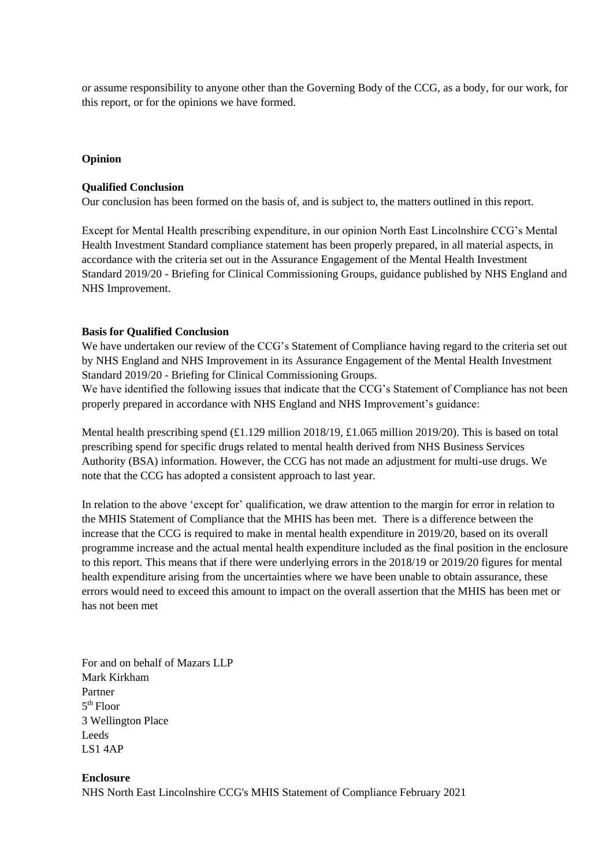or assume responsibility to anyone other than the Governing Body of the CCG, as a body, for our work, for this report, or for the opinions we have formed.

#### **Opinion**

#### **Qualified Conclusion**

Our conclusion has been formed on the basis of, and is subject to, the matters outlined in this report.

Except for Mental Health prescribing expenditure, in our opinion North East Lincolnshire CCG's Mental Health Investment Standard compliance statement has been properly prepared, in all material aspects, in accordance with the criteria set out in the Assurance Engagement of the Mental Health Investment Standard 2019/20 - Briefing for Clinical Commissioning Groups, guidance published by NHS England and NHS Improvement.

#### **Basis for Qualified Conclusion**

We have undertaken our review of the CCG's Statement of Compliance having regard to the criteria set out by NHS England and NHS Improvement in its Assurance Engagement of the Mental Health Investment Standard 2019/20 - Briefing for Clinical Commissioning Groups.

We have identified the following issues that indicate that the CCG's Statement of Compliance has not been properly prepared in accordance with NHS England and NHS Improvement's guidance:

Mental health prescribing spend (£1.129 million 2018/19, £1.065 million 2019/20). This is based on total prescribing spend for specific drugs related to mental health derived from NHS Business Services Authority (BSA) information. However, the CCG has not made an adjustment for multi-use drugs. We note that the CCG has adopted a consistent approach to last year.

In relation to the above 'except for' qualification, we draw attention to the margin for error in relation to the MHIS Statement of Compliance that the MHIS has been met. There is a difference between the increase that the CCG is required to make in mental health expenditure in 2019/20, based on its overall programme increase and the actual mental health expenditure included as the final position in the enclosure to this report. This means that if there were underlying errors in the 2018/19 or 2019/20 figures for mental health expenditure arising from the uncertainties where we have been unable to obtain assurance, these errors would need to exceed this amount to impact on the overall assertion that the MHIS has been met or has not been met

For and on behalf of Mazars LLP Mark Kirkham Partner 5 th Floor 3 Wellington Place Leeds LS1 4AP